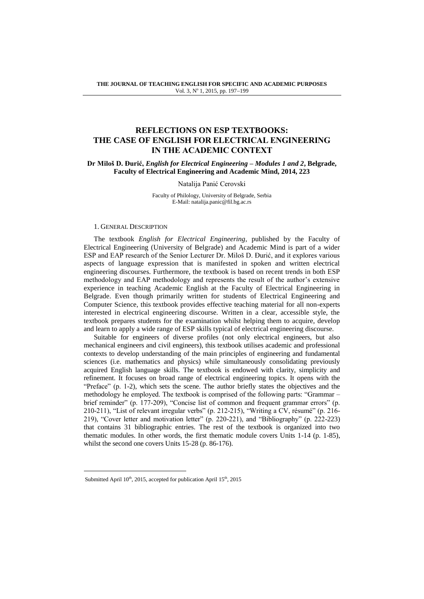# **REFLECTIONS ON ESP TEXTBOOKS: THE CASE OF ENGLISH FOR ELECTRICAL ENGINEERING IN THE ACADEMIC CONTEXT**

## **Dr Miloš D. Đurić,** *English for Electrical Engineering – Modules 1 and 2***, Belgrade, Faculty of Electrical Engineering and Academic Mind, 2014, 223**

## Natalija Panić Cerovski

Faculty of Philology, University of Belgrade, Serbia E-Mail: natalija.panic@fil.bg.ac.rs

## 1. GENERAL DESCRIPTION

The textbook *English for Electrical Engineering*, published by the Faculty of Electrical Engineering (University of Belgrade) and Academic Mind is part of a wider ESP and EAP research of the Senior Lecturer Dr. Miloš D. Đurić, and it explores various aspects of language expression that is manifested in spoken and written electrical engineering discourses. Furthermore, the textbook is based on recent trends in both ESP methodology and EAP methodology and represents the result of the author's extensive experience in teaching Academic English at the Faculty of Electrical Engineering in Belgrade. Even though primarily written for students of Electrical Engineering and Computer Science, this textbook provides effective teaching material for all non-experts interested in electrical engineering discourse. Written in a clear, accessible style, the textbook prepares students for the examination whilst helping them to acquire, develop and learn to apply a wide range of ESP skills typical of electrical engineering discourse.

Suitable for engineers of diverse profiles (not only electrical engineers, but also mechanical engineers and civil engineers), this textbook utilises academic and professional contexts to develop understanding of the main principles of engineering and fundamental sciences (i.e. mathematics and physics) while simultaneously consolidating previously acquired English language skills. The textbook is endowed with clarity, simplicity and refinement. It focuses on broad range of electrical engineering topics. It opens with the "Preface" (p. 1-2), which sets the scene. The author briefly states the objectives and the methodology he employed. The textbook is comprised of the following parts: "Grammar – brief reminder" (p. 177-209), "Concise list of common and frequent grammar errors" (p. 210-211), "List of relevant irregular verbs" (p. 212-215), "Writing a CV, résumé" (p. 216- 219), "Cover letter and motivation letter" (p. 220-221), and "Bibliography" (p. 222-223) that contains 31 bibliographic entries. The rest of the textbook is organized into two thematic modules. In other words, the first thematic module covers Units 1-14 (p. 1-85), whilst the second one covers Units 15-28 (p. 86-176).

l

Submitted April  $10^{th}$ , 2015, accepted for publication April  $15^{th}$ , 2015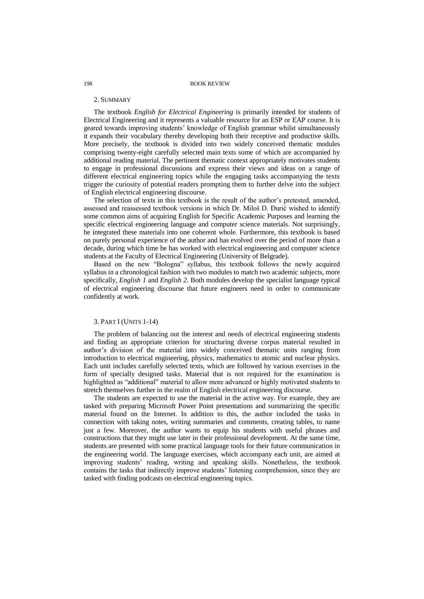#### 198 BOOK REVIEW

#### 2. SUMMARY

The textbook *English for Electrical Engineering* is primarily intended for students of Electrical Engineering and it represents a valuable resource for an ESP or EAP course. It is geared towards improving students' knowledge of English grammar whilst simultaneously it expands their vocabulary thereby developing both their receptive and productive skills. More precisely, the textbook is divided into two widely conceived thematic modules comprising twenty-eight carefully selected main texts some of which are accompanied by additional reading material. The pertinent thematic context appropriately motivates students to engage in professional discussions and express their views and ideas on a range of different electrical engineering topics while the engaging tasks accompanying the texts trigger the curiosity of potential readers prompting them to further delve into the subject of English electrical engineering discourse.

The selection of texts in this textbook is the result of the author's pretested, amended, assessed and reassessed textbook versions in which Dr. Miloš D. Đurić wished to identify some common aims of acquiring English for Specific Academic Purposes and learning the specific electrical engineering language and computer science materials. Not surprisingly, he integrated these materials into one coherent whole. Furthermore, this textbook is based on purely personal experience of the author and has evolved over the period of more than a decade, during which time he has worked with electrical engineering and computer science students at the Faculty of Electrical Engineering (University of Belgrade).

Based on the new "Bologna" syllabus, this textbook follows the newly acquired syllabus in a chronological fashion with two modules to match two academic subjects, more specifically, *English 1* and *English 2*. Both modules develop the specialist language typical of electrical engineering discourse that future engineers need in order to communicate confidently at work.

# 3. PART I (UNITS 1-14)

The problem of balancing out the interest and needs of electrical engineering students and finding an appropriate criterion for structuring diverse corpus material resulted in author's division of the material into widely conceived thematic units ranging from introduction to electrical engineering, physics, mathematics to atomic and nuclear physics. Each unit includes carefully selected texts, which are followed by various exercises in the form of specially designed tasks. Material that is not required for the examination is highlighted as "additional" material to allow more advanced or highly motivated students to stretch themselves further in the realm of English electrical engineering discourse.

The students are expected to use the material in the active way. For example, they are tasked with preparing Microsoft Power Point presentations and summarizing the specific material found on the Internet. In addition to this, the author included the tasks in connection with taking notes, writing summaries and comments, creating tables, to name just a few. Moreover, the author wants to equip his students with useful phrases and constructions that they might use later in their professional development. At the same time, students are presented with some practical language tools for their future communication in the engineering world. The language exercises, which accompany each unit, are aimed at improving students' reading, writing and speaking skills. Nonetheless, the textbook contains the tasks that indirectly improve students' listening comprehension, since they are tasked with finding podcasts on electrical engineering topics.